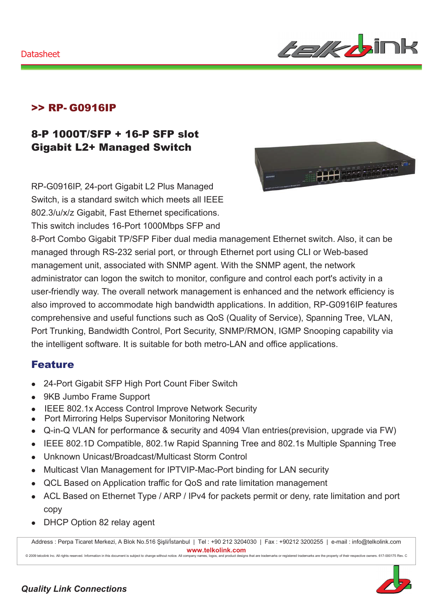#### Datasheet



### >> RP- G0916IP

### 8-P 1000T/SFP + 16-P SFP slot Gigabit L2+ Managed Switch

RP-G0916IP, 24-port Gigabit L2 Plus Managed Switch, is a standard switch which meets all IEEE 802.3/u/x/z Gigabit, Fast Ethernet specifications. This switch includes 16-Port 1000Mbps SFP and



8-Port Combo Gigabit TP/SFP Fiber dual media management Ethernet switch. Also, it can be managed through RS-232 serial port, or through Ethernet port using CLI or Web-based management unit, associated with SNMP agent. With the SNMP agent, the network administrator can logon the switch to monitor, configure and control each port's activity in a user-friendly way. The overall network management is enhanced and the network efficiency is also improved to accommodate high bandwidth applications. In addition, RP-G0916IP features comprehensive and useful functions such as QoS (Quality of Service), Spanning Tree, VLAN, Port Trunking, Bandwidth Control, Port Security, SNMP/RMON, IGMP Snooping capability via the intelligent software. It is suitable for both metro-LAN and office applications.

### Feature

- 24-Port Gigabit SFP High Port Count Fiber Switch
- 9KB Jumbo Frame Support
- IEEE 802.1x Access Control Improve Network Security
- Port Mirroring Helps Supervisor Monitoring Network
- Q-in-Q VLAN for performance & security and 4094 Vlan entries(prevision, upgrade via FW)
- IEEE 802.1D Compatible, 802.1w Rapid Spanning Tree and 802.1s Multiple Spanning Tree
- Unknown Unicast/Broadcast/Multicast Storm Control
- Multicast Vlan Management for IPTVIP-Mac-Port binding for LAN security
- QCL Based on Application traffic for QoS and rate limitation management
- ACL Based on Ethernet Type / ARP / IPv4 for packets permit or deny, rate limitation and port copy
- DHCP Option 82 relay agent

Address : Perpa Ticaret Merkezi, A Blok No.516 Şişli/İstanbul | Tel : +90 212 3204030 | Fax : +90212 3200255 | e-mail : info@telkolink.com  $www.telkolink.com$ @ 2009 telcolink Inc. All rights reserved. Information in this document is subject to change without notice. All company name s, logos, and product de signs that are trademarks or registered trademarks are the property of their respective owners. 617-000175 Rev. C

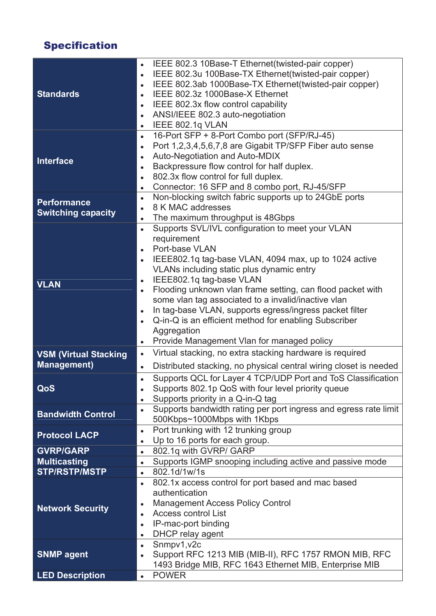# Specification

|                              | IEEE 802.3 10Base-T Ethernet(twisted-pair copper)                              |
|------------------------------|--------------------------------------------------------------------------------|
|                              | IEEE 802.3u 100Base-TX Ethernet(twisted-pair copper)                           |
|                              | IEEE 802.3ab 1000Base-TX Ethernet(twisted-pair copper)                         |
| <b>Standards</b>             | IEEE 802.3z 1000Base-X Ethernet<br>$\bullet$                                   |
|                              | IEEE 802.3x flow control capability                                            |
|                              | ANSI/IEEE 802.3 auto-negotiation                                               |
|                              | IEEE 802.1q VLAN<br>$\bullet$                                                  |
|                              | 16-Port SFP + 8-Port Combo port (SFP/RJ-45)<br>$\bullet$                       |
|                              | Port 1,2,3,4,5,6,7,8 are Gigabit TP/SFP Fiber auto sense<br>$\bullet$          |
|                              | Auto-Negotiation and Auto-MDIX<br>$\bullet$                                    |
| <b>Interface</b>             | Backpressure flow control for half duplex.<br>$\bullet$                        |
|                              | 802.3x flow control for full duplex.<br>$\bullet$                              |
|                              | Connector: 16 SFP and 8 combo port, RJ-45/SFP<br>$\bullet$                     |
|                              | Non-blocking switch fabric supports up to 24GbE ports<br>$\bullet$             |
| <b>Performance</b>           | 8 K MAC addresses                                                              |
| <b>Switching capacity</b>    | The maximum throughput is 48Gbps                                               |
|                              | Supports SVL/IVL configuration to meet your VLAN                               |
|                              | requirement                                                                    |
|                              | Port-base VLAN<br>$\bullet$                                                    |
|                              | IEEE802.1q tag-base VLAN, 4094 max, up to 1024 active                          |
|                              | VLANs including static plus dynamic entry                                      |
|                              | IEEE802.1q tag-base VLAN<br>$\bullet$                                          |
| <b>VLAN</b>                  | Flooding unknown vlan frame setting, can flood packet with                     |
|                              | some vlan tag associated to a invalid/inactive vlan                            |
|                              | In tag-base VLAN, supports egress/ingress packet filter<br>$\bullet$           |
|                              | Q-in-Q is an efficient method for enabling Subscriber                          |
|                              | Aggregation                                                                    |
|                              | Provide Management Vlan for managed policy<br>$\bullet$                        |
| <b>VSM (Virtual Stacking</b> | Virtual stacking, no extra stacking hardware is required<br>$\bullet$          |
| <b>Management</b> )          |                                                                                |
|                              | Distributed stacking, no physical central wiring closet is needed<br>$\bullet$ |
|                              | Supports QCL for Layer 4 TCP/UDP Port and ToS Classification                   |
| QoS                          | Supports 802.1p QoS with four level priority queue                             |
|                              | Supports priority in a Q-in-Q tag                                              |
| <b>Bandwidth Control</b>     | Supports bandwidth rating per port ingress and egress rate limit<br>$\bullet$  |
|                              | 500Kbps~1000Mbps with 1Kbps                                                    |
| <b>Protocol LACP</b>         | Port trunking with 12 trunking group<br>$\bullet$                              |
|                              | Up to 16 ports for each group.                                                 |
| <b>GVRP/GARP</b>             | 802.1q with GVRP/ GARP<br>$\bullet$                                            |
| <b>Multicasting</b>          | Supports IGMP snooping including active and passive mode                       |
| <b>STP/RSTP/MSTP</b>         | 802.1d/1w/1s<br>$\bullet$                                                      |
|                              | 802.1x access control for port based and mac based                             |
|                              | authentication                                                                 |
| <b>Network Security</b>      | <b>Management Access Policy Control</b>                                        |
|                              | <b>Access control List</b>                                                     |
|                              | IP-mac-port binding                                                            |
|                              | DHCP relay agent<br>$\bullet$                                                  |
|                              | Snmpv1, v2c<br>$\bullet$                                                       |
| <b>SNMP agent</b>            | Support RFC 1213 MIB (MIB-II), RFC 1757 RMON MIB, RFC                          |
|                              | 1493 Bridge MIB, RFC 1643 Ethernet MIB, Enterprise MIB                         |
| <b>LED Description</b>       | <b>POWER</b>                                                                   |